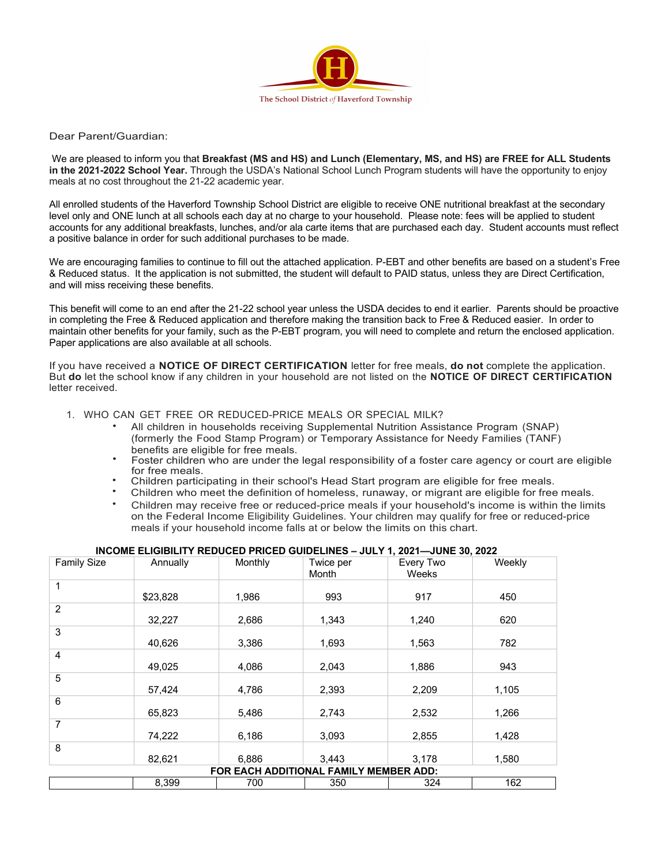

Dear Parent/Guardian:

We are pleased to inform you that **Breakfast (MS and HS) and Lunch (Elementary, MS, and HS) are FREE for ALL Students in the 2021-2022 School Year.** Through the USDA's National School Lunch Program students will have the opportunity to enjoy meals at no cost throughout the 21-22 academic year.

All enrolled students of the Haverford Township School District are eligible to receive ONE nutritional breakfast at the secondary level only and ONE lunch at all schools each day at no charge to your household. Please note: fees will be applied to student accounts for any additional breakfasts, lunches, and/or ala carte items that are purchased each day. Student accounts must reflect a positive balance in order for such additional purchases to be made.

We are encouraging families to continue to fill out the attached application. P-EBT and other benefits are based on a student's Free & Reduced status. It the application is not submitted, the student will default to PAID status, unless they are Direct Certification, and will miss receiving these benefits.

This benefit will come to an end after the 21-22 school year unless the USDA decides to end it earlier. Parents should be proactive in completing the Free & Reduced application and therefore making the transition back to Free & Reduced easier. In order to maintain other benefits for your family, such as the P-EBT program, you will need to complete and return the enclosed application. Paper applications are also available at all schools.

If you have received a **NOTICE OF DIRECT CERTIFICATION** letter for free meals, **do not** complete the application. But **do** let the school know if any children in your household are not listed on the **NOTICE OF DIRECT CERTIFICATION** letter received.

- 1. WHO CAN GET FREE OR REDUCED-PRICE MEALS OR SPECIAL MILK?
	- All children in households receiving Supplemental Nutrition Assistance Program (SNAP) (formerly the Food Stamp Program) or Temporary Assistance for Needy Families (TANF)
	- benefits are eligible for free meals.<br>Foster children who are under the legal responsibility of a foster care agency or court are eligible<br>for free meals.
	- Children participating in their school's Head Start program are eligible for free meals.<br>Children who meet the definition of homeless, runaway, or migrant are eligible for free meals.
	-
	- Children may receive free or reduced-price meals if your household's income is within the limits on the Federal Income Eligibility Guidelines. Your children may qualify for free or reduced-price meals if your household income falls at or below the limits on this chart.

## **INCOME ELIGIBILITY REDUCED PRICED GUIDELINES – JULY 1, 2021—JUNE 30, 2022**

| <b>Family Size</b>                     | Annually | Monthly | Twice per<br>Month | Every Two<br>Weeks | Weekly |
|----------------------------------------|----------|---------|--------------------|--------------------|--------|
|                                        |          |         |                    |                    |        |
|                                        | \$23,828 | 1,986   | 993                | 917                | 450    |
| $\overline{2}$                         |          |         |                    |                    |        |
|                                        | 32,227   | 2,686   | 1,343              | 1,240              | 620    |
| 3                                      |          |         |                    |                    |        |
|                                        | 40,626   | 3,386   | 1,693              | 1,563              | 782    |
| 4                                      |          |         |                    |                    |        |
|                                        | 49,025   | 4,086   | 2,043              | 1,886              | 943    |
| 5                                      |          |         |                    |                    |        |
|                                        | 57,424   | 4,786   | 2,393              | 2,209              | 1,105  |
| 6                                      |          |         |                    |                    |        |
|                                        | 65,823   | 5,486   | 2,743              | 2,532              | 1,266  |
| $\overline{7}$                         |          |         |                    |                    |        |
|                                        | 74,222   | 6,186   | 3,093              | 2,855              | 1,428  |
| 8                                      |          |         |                    |                    |        |
|                                        | 82,621   | 6,886   | 3,443              | 3,178              | 1,580  |
| FOR EACH ADDITIONAL FAMILY MEMBER ADD: |          |         |                    |                    |        |
|                                        | 8,399    | 700     | 350                | 324                | 162    |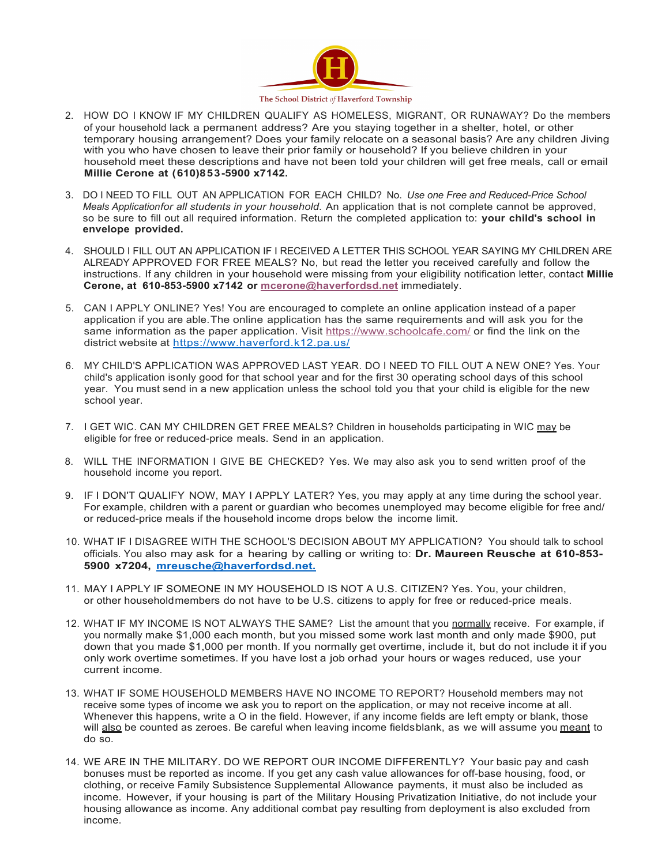

- 2. HOW DO I KNOW IF MY CHILDREN QUALIFY AS HOMELESS, MIGRANT, OR RUNAWAY? Do the members of your household lack a permanent address? Are you staying together in a shelter, hotel, or other temporary housing arrangement? Does your family relocate on a seasonal basis? Are any children Jiving with you who have chosen to leave their prior family or household? If you believe children in your household meet these descriptions and have not been told your children will get free meals, call or email **Millie Cerone at (610)853-5900 x7142.**
- 3. DO I NEED TO FILL OUT AN APPLICATION FOR EACH CHILD? No. *Use one Free and Reduced-Price School Meals Applicationfor all students in your household.* An application that is not complete cannot be approved, so be sure to fill out all required information. Return the completed application to: **your child's school in envelope provided.**
- 4. SHOULD I FILL OUT AN APPLICATION IF I RECEIVED A LETTER THIS SCHOOL YEAR SAYING MY CHILDREN ARE ALREADY APPROVED FOR FREE MEALS? No, but read the letter you received carefully and follow the instructions. If any children in your household were missing from your eligibility notification letter, contact **Millie Cerone, at 610-853-5900 x7142 or mcerone@haverfordsd.net** immediately.
- 5. CAN I APPLY ONLINE? Yes! You are encouraged to complete an online application instead of a paper application if you are able.The online application has the same requirements and will ask you for the same information as the paper application. Visit https://www.schoolcafe.com/ or find the link on the district website at https://www.haverford.k12.pa.us/
- 6. MY CHILD'S APPLICATION WAS APPROVED LAST YEAR. DO I NEED TO FILL OUT A NEW ONE? Yes. Your child's application isonly good for that school year and for the first 30 operating school days of this school year. You must send in a new application unless the school told you that your child is eligible for the new school year.
- 7. I GET WIC. CAN MY CHILDREN GET FREE MEALS? Children in households participating in WIC may be eligible for free or reduced-price meals. Send in an application.
- 8. WILL THE INFORMATION I GIVE BE CHECKED? Yes. We may also ask you to send written proof of the household income you report.
- 9. IF I DON'T QUALIFY NOW, MAY I APPLY LATER? Yes, you may apply at any time during the school year. For example, children with a parent or guardian who becomes unemployed may become eligible for free and/ or reduced-price meals if the household income drops below the income limit.
- 10. WHAT IF I DISAGREE WITH THE SCHOOL'S DECISION ABOUT MY APPLICATION? You should talk to school officials. You also may ask for a hearing by calling or writing to: **Dr. Maureen Reusche at 610-853- 5900 x7204, mreusche@haverfordsd.net.**
- 11. MAY I APPLY IF SOMEONE IN MY HOUSEHOLD IS NOT A U.S. CITIZEN? Yes. You, your children, or other householdmembers do not have to be U.S. citizens to apply for free or reduced-price meals.
- 12. WHAT IF MY INCOME IS NOT ALWAYS THE SAME? List the amount that you normally receive. For example, if you normally make \$1,000 each month, but you missed some work last month and only made \$900, put down that you made \$1,000 per month. If you normally get overtime, include it, but do not include it if you only work overtime sometimes. If you have lost a job orhad your hours or wages reduced, use your current income.
- 13. WHAT IF SOME HOUSEHOLD MEMBERS HAVE NO INCOME TO REPORT? Household members may not receive some types of income we ask you to report on the application, or may not receive income at all. Whenever this happens, write a O in the field. However, if any income fields are left empty or blank, those will also be counted as zeroes. Be careful when leaving income fieldsblank, as we will assume you meant to do so.
- 14. WE ARE IN THE MILITARY. DO WE REPORT OUR INCOME DIFFERENTLY? Your basic pay and cash bonuses must be reported as income. If you get any cash value allowances for off-base housing, food, or clothing, or receive Family Subsistence Supplemental Allowance payments, it must also be included as income. However, if your housing is part of the Military Housing Privatization Initiative, do not include your housing allowance as income. Any additional combat pay resulting from deployment is also excluded from income.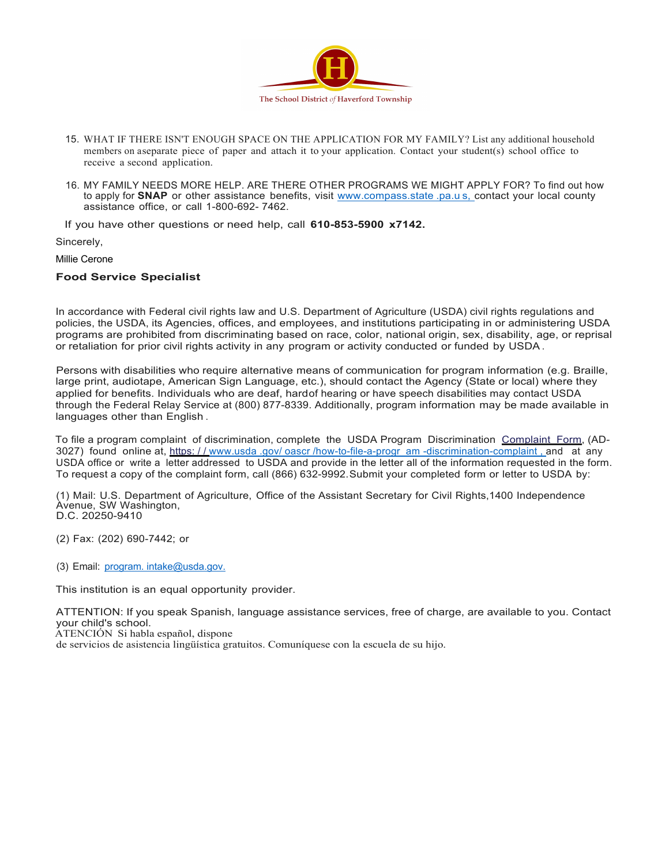

- 15. WHAT IF THERE ISN'T ENOUGH SPACE ON THE APPLICATION FOR MY FAMILY? List any additional household members on aseparate piece of paper and attach it to your application. Contact your student(s) school office to receive a second application.
- 16. MY FAMILY NEEDS MORE HELP. ARE THERE OTHER PROGRAMS WE MIGHT APPLY FOR? To find out how to apply for **SNAP** or other assistance benefits, visit www.compass.state .pa.u s, contact your local county assistance office, or call 1-800-692- 7462.

If you have other questions or need help, call **610-853-5900 x7142.**

Sincerely,

Millie Cerone

## **Food Service Specialist**

In accordance with Federal civil rights law and U.S. Department of Agriculture (USDA) civil rights regulations and policies, the USDA, its Agencies, offices, and employees, and institutions participating in or administering USDA programs are prohibited from discriminating based on race, color, national origin, sex, disability, age, or reprisal or retaliation for prior civil rights activity in any program or activity conducted or funded by USDA.

Persons with disabilities who require alternative means of communication for program information (e.g. Braille, large print, audiotape, American Sign Language, etc.), should contact the Agency (State or local) where they applied for benefits. Individuals who are deaf, hardof hearing or have speech disabilities may contact USDA through the Federal Relay Service at (800) 877-8339. Additionally, program information may be made available in languages other than English .

To file a program complaint of discrimination, complete the USDA Program Discrimination Complaint Form, (AD-3027) found online at, https://www.usda .gov/ oascr /how-to-file-a-progr am -discrimination-complaint, and at any USDA office or write a letter addressed to USDA and provide in the letter all of the information requested in the form. To request a copy of the complaint form, call (866) 632-9992.Submit your completed form or letter to USDA by:

(1) Mail: U.S. Department of Agriculture, Office of the Assistant Secretary for Civil Rights,1400 Independence Avenue, SW Washington, D.C. 20250-9410

(2) Fax: (202) 690-7442; or

(3) Email: program. intake@usda.gov.

This institution is an equal opportunity provider.

ATTENTION: If you speak Spanish, language assistance services, free of charge, are available to you. Contact your child's school.

ATENCIÓN Si habla español, dispone

de servicios de asistencia lingüística gratuitos. Comuníquese con la escuela de su hijo.